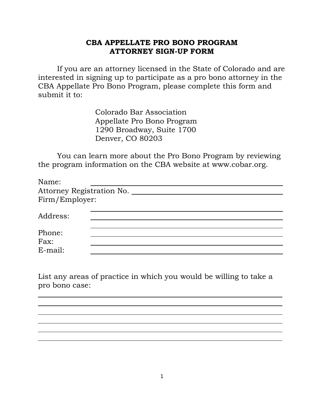## **CBA APPELLATE PRO BONO PROGRAM ATTORNEY SIGN-UP FORM**

If you are an attorney licensed in the State of Colorado and are interested in signing up to participate as a pro bono attorney in the CBA Appellate Pro Bono Program, please complete this form and submit it to:

> Colorado Bar Association Appellate Pro Bono Program 1290 Broadway, Suite 1700 Denver, CO 80203

You can learn more about the Pro Bono Program by reviewing the program information on the CBA website at [www.cobar.org.](http://www.cobar.org/)

| Name:                     |  |  |
|---------------------------|--|--|
| Attorney Registration No. |  |  |
| Firm/Employer:            |  |  |
|                           |  |  |
| Address:                  |  |  |
|                           |  |  |
| Phone:                    |  |  |
| Fax:                      |  |  |
| E-mail:                   |  |  |

List any areas of practice in which you would be willing to take a pro bono case: